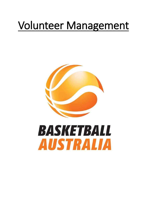# Volunteer Management

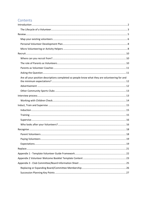# Contents

| Are all your position descriptions completed so people know what they are volunteering for and |  |
|------------------------------------------------------------------------------------------------|--|
|                                                                                                |  |
|                                                                                                |  |
|                                                                                                |  |
|                                                                                                |  |
|                                                                                                |  |
|                                                                                                |  |
|                                                                                                |  |
|                                                                                                |  |
|                                                                                                |  |
|                                                                                                |  |
|                                                                                                |  |
|                                                                                                |  |
|                                                                                                |  |
|                                                                                                |  |
|                                                                                                |  |
|                                                                                                |  |
|                                                                                                |  |
|                                                                                                |  |
|                                                                                                |  |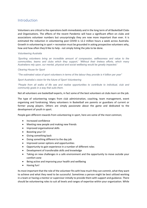# <span id="page-2-0"></span>Introduction

Volunteers are critical to the operations both immediately and in the long term of all Basketball Clubs and Organisations. The effects of the recent Pandemic will have a significant effect on clubs and associations volunteer numbers but unsurprisingly they are now more important than ever. It is estimated the reduction in volunteering post COVID is 12.2 million hours a week across Australia. Growth in volunteering in sport + recreation must be grounded in asking prospective volunteers why, how and how often they'd like to help - not simply listing the jobs to be done.

#### *Volunteering Australia*

*'Sporting volunteers bring an incredible amount of compassion, selflessness and value to the communities, teams and clubs which they support,' 'Without their tireless efforts, which many Australians rely upon, our mental, physical and social wellbeing would be greatly impacted.'*

#### *Clearing House for Sport*

*"The estimated value of sport volunteers in terms of the labour they provide is 4 billion per year"*

*Sport Australia's vision for the future of Sport Volunteering*

*"People from all walks of life see and realise opportunities to contribute to individual, club and community goals in a way that suits them.*

Not all volunteers are basketball experts, in fact some of the best volunteers at clubs learn on the job.

The type of volunteering ranges from club administration, coaching, team management, event organising and fundraising. Many volunteers in Basketball are parents or guardians of current or former young players. Others are simply passionate about the game and dedicated to the development of youth in sport.

People gain different rewards from volunteering in sport, here are some of the most common;

- Increased confidence
- Meeting new people and making new friends
- Improved organisational skills
- Boosting your CV
- Giving something back
- Doing something different to the day job
- Improved career options and opportunities
- Opportunity to gain experience in a number of different roles
- Development of transferable skills and knowledge
- Taking on new challenges in a safe environment and the opportunity to move outside your comfort zone
- Being active and improving your health and wellbeing
- Having fun!

Its most important that the role of the volunteer fits with how much they can commit, what they want to achieve and what they need to be successful. Sometimes a person might be best utilized working in a team or having a mentor or supervisor initially to provide them with support and guidance. There should be volunteering roles to suit all levels and ranges of expertise within your organization. While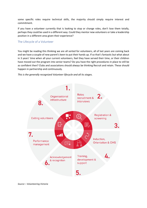some specific roles require technical skills, the majority should simply require interest and commitment.

If you have a volunteer currently that is looking to stop or change roles, don't lose them totally, perhaps they could be used in a different way. Could they mentor new volunteers or take a leadership position in a different area given their experience?

## <span id="page-3-0"></span>The Lifecycle of a Volunteer

You might be reading this thinking we are all sorted for volunteers, all of last years are coming back and we have a couple of new parent's keen to put their hands up. If so that's fantastic but what about in 3 years' time when all your current volunteers, feel they have served their time, or their children have moved out the program into senior teams? Do you have the right procedures in place to still be as confident then? Clubs and associations should always be thinking Recruit and retain. These should happen in partnership and continuously.

*This is the generally recognized Volunteer lifecycle and all its stages.*



*Source – Volunteering Victoria*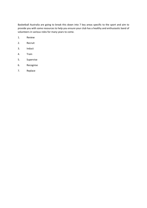Basketball Australia are going to break this down into 7 key areas specific to the sport and aim to provide you with some resources to help you ensure your club has a healthy and enthusiastic band of volunteers in various roles for many years to come.

- 1. Review
- 2. Recruit
- 3. Induct
- 4. Train
- 5. Supervise
- 6. Recognise
- 7. Replace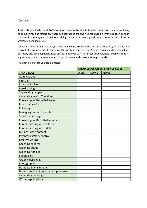# <span id="page-5-0"></span>Review

To do this effectively the clubs/associations need to be able to honestly reflect on their current way of doing things and reflect on where societal needs are and not get stuck on what has been done in the past is the way we should keep doing things. It is also a good time to ensure the culture is welcoming and inclusive.

What kind of volunteer roles do you need or in your current cohort and what skills are you lacking that it would be great to add to the mix? Obviously if you have key/required roles such as President, Secretary etc. this question is quite obvious but if you wish to refresh your volunteer pool or add to it, a good exercise is to survey your existing volunteers and create a strength matrix.

An example of areas you could analyze

|                                       | <b>KNOWLEDGE OR EXPERIENCE LEVEL</b> |             |             |
|---------------------------------------|--------------------------------------|-------------|-------------|
| <b>TASK / ROLE</b>                    | A LOT                                | <b>SOME</b> | <b>NONE</b> |
| Administration                        |                                      |             |             |
| First aid                             |                                      |             |             |
| <b>Internet Banking</b>               |                                      |             |             |
| Bookkeeping                           |                                      |             |             |
| <b>Supervising people</b>             |                                      |             |             |
| <b>Organising events/functions</b>    |                                      |             |             |
| Knowledge of Basketball rules         |                                      |             |             |
| <b>Food preparation</b>               |                                      |             |             |
| E-Scoring                             |                                      |             |             |
| Managing teams of people              |                                      |             |             |
| Social media usage                    |                                      |             |             |
| Knowledge of Basketball equipment     |                                      |             |             |
| Communicating with children           |                                      |             |             |
| Communicating with adults             |                                      |             |             |
| <b>Business development</b>           |                                      |             |             |
| Inventories/stock control             |                                      |             |             |
| <b>Creative writing</b>               |                                      |             |             |
| Coaching children                     |                                      |             |             |
| <b>Coaching adults</b>                |                                      |             |             |
| <b>Coaching females</b>               |                                      |             |             |
| <b>Fundraising</b>                    |                                      |             |             |
| <b>Graphic designing</b>              |                                      |             |             |
| Photography                           |                                      |             |             |
| Database management                   |                                      |             |             |
| Understanding of government processes |                                      |             |             |
| <b>Organising meetings</b>            |                                      |             |             |
| <b>Writing applications</b>           |                                      |             |             |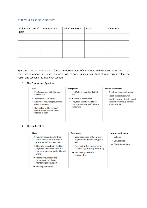#### <span id="page-6-0"></span>Map your existing volunteers

| Role | Volunteer Area/   Number of Vols | When Required | Tasks | Supervisor |
|------|----------------------------------|---------------|-------|------------|
|      |                                  |               |       |            |
|      |                                  |               |       |            |
|      |                                  |               |       |            |
|      |                                  |               |       |            |
|      |                                  |               |       |            |
|      |                                  |               |       |            |
|      |                                  |               |       |            |

Sport Australia in their research found 7 different types of volunteers within sports in Australia, 4 of these are commonly seen and 3 are areas where opportunities exist. Look at your current volunteer roster and see who fits into what section.

#### **1. The Committed Sport fan**

#### **Likes**

- $\rightarrow$  Feeling connected to the sport and the club
- $\rightarrow$  "Giving back" to the club
- $\rightarrow$  Getting to know the players and other volunteers
- $\rightarrow$  Connected to 'like minded' people who share the same interest in sport

#### **Pain points**

- $\rightarrow$  Insufficient support to do their role
- $\rightarrow$  Administrative hurdles
- $\rightarrow$  They tend to get asked to do jobs like coaching which is time consuming

#### How to reach them

- $\rightarrow$  Reach out to present players
- $\rightarrow$  Reach out to club alumni
- $\rightarrow$  Identify these motivations and skills in network e.g. parents, grandparents

#### **2. The skill seeker**

#### **Likes**

- $\rightarrow$  Formal recognition for their work, such as a certificate or statement of hours worked
- $\rightarrow$  The right opportunity that is aligned to their skills and time commitments e.g. project based work
- $\rightarrow$  Formal, structured and recognised training or mentoring and support
- $\rightarrow$  Building networks

#### **Pain points**

- $\rightarrow$  Working on tasks that are not aligned with their existing skill set
- $\rightarrow$  Not feeling they are set up for success e.g. training, mentoring
- $\rightarrow$  Not feeling valued or appreciated

#### How to reach them

- $\rightarrow$  Schools
- $\rightarrow$  Universities
- $\rightarrow$  Current members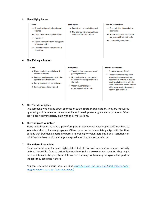#### **3. The obliging helper**

#### **Likes**

- $\rightarrow$  Spending time with family and friends
- $\rightarrow$  Clear roles and responsibilities
- $\rightarrow$  Flexibility
- $\rightarrow$  Social connection and being part of a community
- $\rightarrow$  Lots of notice so they can plan their time

#### **Pain points**

- $\rightarrow$  Feel stretched and obligated
- $\rightarrow$  Not aligned with motivations, skills and circumstances

#### How to reach them

- $\rightarrow$  Through the clubs existing networks
- $\rightarrow$  Reach out to the parents of players and their networks
- $\rightarrow$  Community members

#### **4. The lifelong volunteer**

#### **Likes**

- $\rightarrow$  Opportunities to socialise with other volunteers
- $\rightarrow$  Feeling deeply connected to the sport club and members
- $\rightarrow$  Being involved in key decisions
- $\rightarrow$  Feeling needed and valued

#### **Pain points**

- $\rightarrow$  Taking on too much work and getting burnt out
- $\rightarrow$  Not having the option to step back but still being involved in the club
- $\rightarrow$  Observing challenges experienced by the club

#### **How to reach them**

- $\rightarrow$  They are already there!
- $\rightarrow$  These volunteers may be in roles that have evolved and expanded over time. It may be worth revisiting their roles to see if their tasks can be shared with the new volunteers who want to get involved.

#### **5. The Friendly neighbor**

This someone who has no direct connection to the sport or organization. They are motivated by making a difference in the community and developmental goals and aspirations. Often sport does not immediately align with their motivations.

#### **6. The workplace volunteer**

Many large businesses have a policy/program in place which encourages staff members to join established volunteer programs. Often these do not immediately align with the time periods that traditional sports programs are looking for volunteers but if an association can think flexibly there could be a large untapped pool of volunteers available.

#### **7. The underutilized talent**

These potential volunteers are highly skilled but at this exact moment in time are not fully utilizing these skills, focused on family or newly retired are two common scenarios. They might have an interest in keeping these skills current but may not have any background in sport or thought they could use it there.

You can read more about these last 3 at [Sport-Australia-The-Future-of-Sport-Volunteering-](https://www.sportaus.gov.au/__data/assets/pdf_file/0020/1017443/Sport-Australia-The-Future-of-Sport-Volunteering-Insights-Report-2021.pdf)[Insights-Report-2021.pdf \(sportaus.gov.au\)](https://www.sportaus.gov.au/__data/assets/pdf_file/0020/1017443/Sport-Australia-The-Future-of-Sport-Volunteering-Insights-Report-2021.pdf)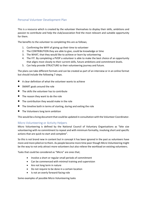# <span id="page-8-0"></span>Personal Volunteer Development Plan

This is a resource which is created by the volunteer themselves to display their skills, ambitions and passion to contribute and help the club/association find the most relevant and suitable opportunity for them.

The benefits to the volunteer to completing this are as follows;

- 1. Confirming the WHY of giving up their time to volunteer
- 2. The CONTRIBUTION they are able to give, could be knowledge or time
- 3. The WHAT, that they would like to achieve or learn by volunteering
- 4. The FIT. By completing a PVDP a volunteer is able to make the best choice of an opportunity that aligns most closely to their current skills, future ambitions and commitment levels.
- 5. Can help provide STRUCTURE to their volunteering journey and future.

The plans can take different formats and can be created as part of an interview or in an online format but should include the following 7 steps.

- A clear definition of what the volunteer wants to achieve
- SMART goals around the role
- The skills the volunteer has to contribute
- The reason they want to do the role
- The contribution they would make in the role
- The timeline both in terms of starting, during and exiting the role
- The Volunteers long term ambition

This would be a living document that could be updated in consultation with the Volunteer Coordinator.

## <span id="page-8-1"></span>Micro Volunteering or Activity Helpers

Micro Volunteering is defined by the National Council of Voluntary Organisations as "bite size volunteering with no commitment to repeat and with minimum formality, involving short and specific actions that are quick to start and complete".

So this is not brand new in content but in concept it has been ignored in the past as volunteers have more and more piled on to them. As people become more time poor though Micro Volunteering might be the way to not only attract more volunteers but also relieve the workload on existing volunteers.

Tasks that could be considered as "Micro" are ones that;

- Involve a short or regular small periods of commitment
- Can be commenced with minimal training and supervision
- Are not long term in nature
- Do not require to be done in a certain location
- Is not an overly forward-facing role

Some examples of possible Micro Volunteering tasks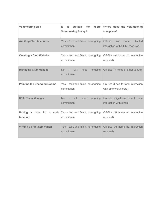| <b>Volunteering task</b>             | suitable<br>for<br><b>Micro</b><br>it.<br>ls.<br><b>Volunteering &amp; why?</b> | Where does the volunteering<br>take place?                           |
|--------------------------------------|---------------------------------------------------------------------------------|----------------------------------------------------------------------|
| <b>Auditing Club Accounts</b>        | Yes - task and finish, no ongoing<br>commitment                                 | Off-Site<br>home, limited<br>(At<br>interaction with Club Treasurer) |
| <b>Creating a Club Website</b>       | Yes - task and finish, no ongoing<br>commitment                                 | Off-Site (At home, no interaction<br>required)                       |
| <b>Managing Club Website</b>         | No<br>$-$ will<br>need<br>ongoing<br>commitment                                 | Off-Site (At home or other venue)                                    |
| <b>Painting the Changing Rooms</b>   | Yes - task and finish, no ongoing<br>commitment                                 | On-Site (Face to face interaction<br>with other volunteers)          |
| <b>U13s Team Manager</b>             | No l<br>will<br>need<br>ongoing<br>commitment                                   | On-Site (Significant face to face<br>interaction with others)        |
| Baking a cake for a club<br>function | Yes - task and finish, no ongoing<br>commitment                                 | Off-Site (At home no interaction<br>required)                        |
| <b>Writing a grant application</b>   | Yes - task and finish, no ongoing<br>commitment                                 | Off-Site (At home no interaction<br>required)                        |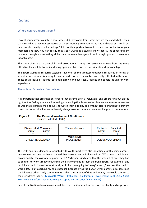# <span id="page-10-0"></span>Recruit

## <span id="page-10-1"></span>Where can you recruit from?

Look at your current volunteer pool, where did they come from, what age are they and what is their background. Are they representative of the surrounding community and is it as diverse as it could be, in terms of ethnicity, gender and age? If its not its important to ask if they are truly reflective of your members and how you can rectify that. Sport Australia's studies show that "A lot of recruitment happens through 'mates' – they all become the same demographic and thought process. It creates a lot of biases. "

The more diverse of a base clubs and associations attempt to recruit volunteers from the more attractive they will be to similar demographics both in terms of participants and sponsorship.

The Sport Australia research suggests that one of the greatest untapped resources in terms of volunteer recruitment is amongst those who do not see themselves currently reflected in the sport. These could include students (both homegrown and overseas), retirees and people looking for work experience.

# <span id="page-10-2"></span>The role of Parents as Volunteers

It is important that organisations ensure that parents aren't "voluntold" and are starting out on the right foot as feeling you are volunteering as an obligation is a massive disincentive. Always remember as well that a parent's main focus is to watch their kids play and without clear definitions to prevent creep the potential volunteer will nearly always assume there is a perceived long-term commitment.

#### The Parental Involvement Continuum **Figure 2**

(Source: Hellestedt, 1987)

| Disinterested Misinformed<br>parent<br>parent | The comfort zone                      | Excitable<br>Fanatical<br>parent<br>parent |
|-----------------------------------------------|---------------------------------------|--------------------------------------------|
| <b>UNDERINVOLVEMENT</b>                       | <b>MODERATE</b><br><b>INVOLVEMENT</b> | <b>OVERINVOLVEMENT</b>                     |

The costs and time demands associated with youth sport were also identified as influencing parents' involvement. As one mother explained, her involvement is influenced by, "What my schedule can accommodate, the cost of equipment/fees." Participants indicated that the amount of time they had to commit to work greatly influenced their involvement in their children's sport. For example, one participant said, "I need to be at work, so it limits me going to "away" events," and another said, "I work a lot. I quit coaching my son's baseball because I was too busy." Other parents also described the influence other family commitments had on the amount of time and money they could commit to their children's sport. [\(Microsoft Word - Influences on Parental Involvement\\_Sept 2015\\_Sport](https://www.wwpis.co.uk/wp-content/uploads/2017/06/Influences-on-Parental-Involvement-in-youth-sport.pdf)  [Exercise and Performance Psychology Accepted Version.docx \(wwpis.co.uk\)](https://www.wwpis.co.uk/wp-content/uploads/2017/06/Influences-on-Parental-Involvement-in-youth-sport.pdf)

Parents motivational reasons can also differ from traditional volunteers both positively and negatively.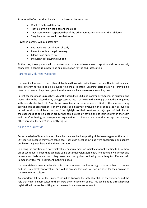Parents will often put their hand up to be involved because they;

- Want to make a difference
- They believe it's what a parent should do
- They want to earn respect, either of the other parents or sometimes their children
- They believe they could do a better job.

However, parents will also often say

- I've made my contribution already
- I'm not sure I can help in anyway
- I don't have enough time
- I wouldn't get anything out of it

At the core, those parents who volunteer are those who have a love of sport, a wish to be socially connected, a generous mindset and an appreciation for the club/association.

#### <span id="page-11-0"></span>Parents as Volunteer Coaches

If a parent volunteers to coach, then clubs should look to invest in those coaches. That investment can take different forms, it could be supporting them to attain Coaching accreditation or providing a mentor to them to help them grow into the role and have an external sounding board.

Parent coaches make up roughly 75% of the accredited Club and Community Coaches in Australia and many fall into the role, either by being pressured into it or being in the wrong place at the wrong time with nobody else to do it. Parents and volunteers can be absolutely critical to the success of any sporting club or organisation. For any parent, being actively involved in their child's sport or involved in their local sports club can be one of the highlights of their week and a major part of their life. All the challenges of being a coach are further complicated by having one of your children in the team and therefore having to manage your expectations, aspirations and now the perceptions of every other parent in the team! So, a pretty big job!

## <span id="page-11-1"></span>Asking the Question

Recent analysis of how volunteers have become involved in sporting clubs have suggested that up to 65% started because they were asked too. They didn't seek it out but were encouraged and sought out by existing members within the organisation.

By asking the question of a potential volunteer you remove an initial fear of not wanting to be a show off or seem overly keen that can hold some potential volunteers back. The potential volunteer also immediately feels valued as if they have been recognised as having something to offer and will immediately feel more confident in their abilities.

If a potential volunteer is undecided this show of interest could be enough to prompt them to commit and those already keen to volunteer it will be an excellent positive starting point for their opinion of the volunteering culture.

An important skill set of the "inviter" should be knowing the potential skills of the volunteer and the role that might be best suited to them were they to come on board. This can be done through player registration forms or by striking up a conversation at a welcome event.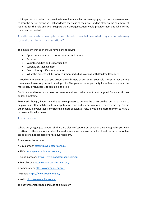It is important that when the question is asked as many barriers to engaging that person are removed to stop the person saying yes, acknowledge the value of their time and be clear on the commitment required for the role and what support the club/organisation would provide them and who will be their point of contact.

<span id="page-12-0"></span>Are all your position descriptions completed so people know what they are volunteering for and the minimum expectations?

The minimum that each should have is the following

- Approximate number of hours required and tenure
- Purpose
- Volunteer duties and responsibilities
- Supervision/Management
- Any skills or qualifications required
- What the process will be for recruitment including Working with Children Check etc.

A good way to ensuring that you attract the right type of person for your role is ensure that there is room in each role to grow and develop skills. The greater the opportunity for self-improvement the more likely a volunteer is to remain in the role.

Don't be afraid to focus on tasks not roles as well and make recruitment targeted for a specific task and/or timeframe.

Be realistic though, if you are asking team supporters to put out the chairs on the court or a parent to help wash up after matches, a formal application form and interview may well be over the top. On the other hand, if a volunteer is considering a more substantial role, it would be more relevant to have a more established process.

#### <span id="page-12-1"></span>Advertisement

Where are you going to advertise? There are plenty of options but consider the demographic you want to attract, is there a more student focused space you could use, a multicultural resource, an online space over a noticeboard or print advertisement.

Some examples include;

- GoVolunteer<https://govolunteer.com.au/>
- SEEK<https://www.volunteer.com.au/>
- Good Company [https://www.goodcompany.com.au](https://www.goodcompany.com.au/)
- Be Collective<https://www.becollective.com/>
- Communiteer<https://communiteer.org/>
- Goodie<https://www.goodie.org.au/>
- Volli[e https://www.vollie.com.au](https://www.vollie.com.au/)

The advertisement should include at a minimum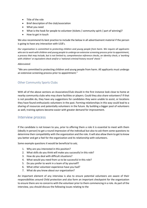- Title of the role
- Brief description of the club/association
- What you need
- What is the hook for people to volunteer (tickets / community spirit / part of winning)?
- How to get in touch

We also recommend its best practice to include the below in all advertisement material if the person is going to have any interaction with U18's.

*Our organisation is committed to protecting children and young people from harm. We require all applicants who are to work with children and young people to undergo an extensive screening process prior to appointment, a process that may include, but is not limited to, comprehensive reference checks, an identity check, a 'working with children' or equivalent check and/or a 'national criminal history record' check."*

#### *Abbreviated:*

"We are committed to protecting children and young people from harm. All applicants must undergo an extensive screening process prior to appointment."

## <span id="page-13-0"></span>Other Community Sports Clubs

With all of the above sections an Association/Club should in the first instance look close to home at nearby community clubs who may share facilities or players. Could they also share volunteers? If that is not possible do, they have any suggestions for candidates they were unable to assist, or locations they have found enthusiastic volunteers in the past. Forming relationships in this way could lead to a sharing of resources and potentially volunteers in the future. By building a bigger pool of volunteers as well, training options become easier with greater demand for improvement.

# <span id="page-13-1"></span>Interview process

If the candidate is not known to you, prior to offering them a role it is essential to meet with them (ideally in person) to get a round impression of the individual but also to ask them some questions to determine their compatibility with the organization and the role. It will also allow them to get to know you better and get a feel for the organization and its relationship with volunteers.

Some example questions it would be beneficial to ask;

- 1. Why are you interested in this position?
- 2. What skills do you think will make you successful in this role?
- 3. How do you deal with difficult situations?
- 4. What would you need from us to be successful in this role?
- 5. Do you prefer to work in a team of by yourself?
- 6. What other volunteer experience have you had?
- 7. What do you know about our organization?

An important element of any interview is also to ensure potential volunteers are aware of their responsibilities around Child protection and also form an important checkpoint for the organization to ensure there are no concerns with the volunteer prior to them commencing in a role. As part of the interview, you should discuss the following issues relating to the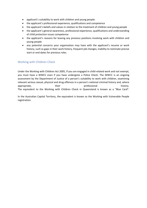- applicant's suitability to work with children and young people:
- the applicant's professional experience, qualifications and competence
- the applicant's beliefs and values in relation to the treatment of children and young people
- the applicant's general awareness, professional experience, qualifications and understanding of child protection issues competence
- the applicant's reasons for leaving any previous positions involving work with children and young people
- any potential concerns your organisation may have with the applicant's resume or work history, such as gaps in their work history, frequent job changes, inability to nominate precise start or end dates for previous roles.

# <span id="page-14-0"></span>Working with Children Check

Under the Working with Children Act 2005, if you are engaged in child-related work and not exempt, you must have a WWCC even if you have undergone a Police Check. The WWCC is an ongoing assessment by the Department of Justice of a person's suitability to work with children, examining relevant serious sexual, physical and drug offences in a person's national criminal history and, where appropriate, and their professional history. The equivalent to the Working with Children Check in Queensland is known as a "Blue Card".

In the Australian Capital Territory, the equivalent is known as the Working with Vulnerable People registration.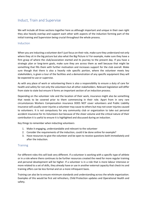# <span id="page-15-0"></span>Induct, Train and Supervise

We will include all three sections together here as although important and unique in their own right they also heavily overlap and support each other with aspects of the induction forming part of the initial training and Supervision being crucial throughout the whole process.

## <span id="page-15-1"></span>Induction

When you are inducting a volunteer don't just focus on their role, make sure they understand not only where they sit in the big picture but also what the Big Picture is! For example, make sure they have a firm grasp of where the club/association started and its journey to the present day. If you have a strategic plan or long-term goals, make sure they are across them as well because that might be something that fills them with further motivation and increases support for the club overall. Make sure though that there is also a heavily role specific portion, where the volunteer meets key stakeholders, is given a tour of the facilities and a demonstration of any specific equipment they will be expected to use or supervise.

As with any place of work or volunteering there is also a responsibility to ensure a duty of care for health and safety for not only the volunteers but all other stakeholders. Relevant legislation will differ from state to state but ensure it forms an important section of an induction process.

Depending on the volunteer role and the location of their work, insurance might also be something that needs to be covered prior to them commencing in their role. Apart from in very rare circumstances Workers Compensation insurance DOES NOT cover volunteers and Public Liability insurance will usually cover injuries a volunteer may cause to others but may not cover injuries caused to volunteers. It is not compulsory for any community club or organization to take out personal accident insurance for its Volunteers but because of the sheer volume and the critical nature of their contribution it is useful to ensure it is highlighted and discussed during an induction.

Key things to remember when inducting volunteers

- 1. Make it engaging, understandable and relevant to the volunteer
- 2. Consider the requirements of the induction, could it be done online for example?
- 3. Have resources to give the volunteer and be open to receive questions both immediately and after the induction.

## <span id="page-15-2"></span>**Training**

For different roles this will look very different. If a volunteer is working with a specific type of athlete or in a role where there continues to be further resources created the need for more regular training and personal development will be higher. If a volunteer is in a role that is more labour intensive or more related to a set of skills, they already have or use in another external capacity that check ins and training offers can be less formal and on a more infrequent basis.

Training can also be to ensure minimum standards and understanding across the whole organization. Examples of this would be first aid refreshers, Child Protection updates and Operational Health and safety.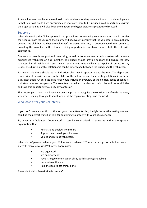Some volunteers may be motivated to do their role because they have ambitions of paid employment in that field so it would both encourage and motivate them to be included in all opportunities within the organization as it will also keep them across the bigger picture as previously discussed.

## <span id="page-16-0"></span>Supervise

When developing the Club's approach and procedures to managing volunteers you should consider the needs of both the Club and the volunteer. Endeavour to ensure that the volunteering role not only benefits the club but matches the volunteer's interests. The club/association should also commit to providing the volunteer with relevant training opportunities to allow them to fulfil the role with confidence.

One way to provide support and mentoring, would be to implement a buddy system with a more experienced volunteer or club member. The buddy should provide support and ensure the new volunteer has all their learning and training requirements met and be an easy point of contact for any issues. The duration of this relationship can be determined between the buddy and the volunteer.

For every role there should be an induction plan that is appropriate to the role. The depth and complexity of this will depend on the ability of the volunteer and their existing relationship with the club/association. An absolute base level would include an overview of the policies, codes of conduct, club structures and key people. The volunteer should also be clear on their roles and responsibilities and take this opportunity to clarify any confusion

The club/organization should have a process in place to recognise the contribution of each and every volunteer – mainly through its social media, at the regular meetings and the AGM.

# <span id="page-16-1"></span>Who looks after your Volunteers?

If you don't have a specific position on your committee for this, it might be worth creating one and could be the perfect transition role for an existing volunteer with years of experience.

So, what is a Volunteer Coordinator? It can be summarised as someone within the sporting organisation that:

- Recruits and deploys volunteers
- Supports and develops volunteers
- Values and retains volunteers.

What kind of person makes a good Volunteer Coordinator? There's no magic formula but research suggests many successful Volunteer Coordinators:

- are organised
- are approachable
- have strong communication skills, both listening and talking
- have self-confidence
- take the lead to get things done

A sample Position Description is overleaf.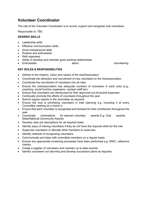# **Volunteer Coordinator**

The role of the Volunteer Coordinator is to recruit, support and recognise club volunteers

*Responsible to:* TBC

## **DESIRED SKILLS**

- Leadership skills
- Effective communication skills.
- Good interpersonal skills
- Positive and enthusiastic
- Well organised
- Ability to develop and maintain good working relationships
- Enthusiastic **volunteering** about volunteering

# **KEY ROLES & RESPONSIBILITIES**

- Adhere to the mission, vision and values of the club/Association
- Coordinate the attraction and recruitment of new volunteers to the club/association.
- Coordinate the recruitment of volunteers into all roles
- Ensure the club/association has adequate numbers of volunteers in each area (e.g., coaching, social function organisers, canteen staff etc)
- Ensure that volunteers are reimbursed for their approved out-of-pocket expenses
- Continually promote the efforts of volunteers throughout the year
- Submit regular reports to the committee as required
- Ensure the club is prioritising volunteers in their planning e.g. Including it at every Committee meeting as a check in
- Ensure that each volunteer is recognised and thanked for their contribution throughout the year
- Coordinate nominations for relevant volunteer awards E.g. Club awards, State/National Community Awards
- Develop clear job descriptions for all required tasks.
- Identify ways of training volunteers if they do not have the required skills for the role.
- Supervise volunteers or allocate other members to supervise.
- Identify methods of recognising volunteers.
- Communicate and liaise with committee members on a regular basis.
- Ensure any appropriate screening processes have been performed e.g. WWC, reference checks.
- Create a register of volunteers and maintain up to date records.
- Identify volunteers not returning and develop succession plans as required.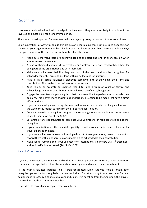# <span id="page-18-0"></span>Recognise

If someone feels valued and acknowledged for their work, they are more likely to continue to be involved and most likely for a longer time period.

This is even more important for Volunteers who are regularly doing this on top of other commitments.

Some suggestions of ways you can do this are below. Bear in mind these can be scaled depending on the size of your organization, number of volunteers and finances available. There are multiple ways that you can achieve the same result without breaking the bank.

- Make sure the volunteers are acknowledged at the start and end of every session when announcements are made.
- As part of their induction send every volunteer a welcome letter or email to thank them for being part of the organization and wish them luck.
- Make sure volunteers feel like they are part of the team and can be recognized for acknowledgement. This could be done with name tags and/or uniforms.
- Have a list of active volunteers displayed somewhere to acknowledge their time and contribution. This can be done online or on a noticeboard.
- Keep this as an accurate an updated record to keep a track of years of service and acknowledge landmark contributions internally with certificates, badges etc.
- Engage the volunteers in planning days that they have direct experience in to provide their opinions. This is even more crucial to do if decisions are going to be made that have a direct effect on them.
- If you have a weekly email or regular information resource, consider profiling a volunteer of the week or the month to highlight their important contribution.
- Create an award or a recognition program to acknowledge exceptional volunteer performance at any Presentation events or AGM's
- Be aware of any opportunities to nominate your volunteers for regional, state or national recognition
- If your organization has the financial capability, consider compensating your volunteers for travel expenses or meals.
- If you have volunteers who commit multiple hours to the organisations, then you can look to reward them with an honorarium or suitable gift to acknowledge their contribution.
- Make special recognition of your volunteers on International Volunteers Day (5<sup>th</sup> December) and National Volunteer Week (16-22 May 2022)

# <span id="page-18-1"></span>Parent Volunteers

If you are to maintain the motivation and enthusiasm of your parents and maximise their contribution to your club or organisation, it will be important to recognise and reward their commitment.

All too often a volunteer parents' role is taken for granted. Make sure your club or organisation recognises parents' efforts regularly… remember it doesn't cost anything to say thank you. This can be done face to face, by a phone call, a card and so on. This might be from the Chairman, the players, the coach or another Committee member.

Some ideas to reward and recognise your volunteers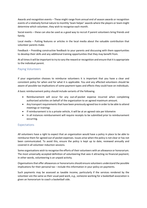Awards and recognition events – These might range from annual end of season awards or recognition events of a relatively formal nature to monthly 'team helper' awards where the players or team might determine which volunteer, they wish to recognise each month.

Social events – these can also be used as a good way to recruit if parent volunteers bring friends and family.

Local media – Putting features or articles in the local media about the valuable contribution that volunteer parents make.

Feedback – Providing constructive feedback to your parents and discussing with them opportunities to develop their skills and any additional training opportunities that they may benefit from.

At all times it will be important to try to vary the reward or recognition and ensure that it is appropriate to the individual parent.

## <span id="page-19-0"></span>Paying Volunteers

If your organization chooses to reimburse volunteers it is important that you have a clear and consistent policy for when and for what it is applicable. You and any affected volunteers should be aware of possible tax implications of some payment types and effects they could have on individuals.

A basic reimbursement policy should include variants of the following.

- Reimbursement will occur for any out-of-pocket expense incurred when completing authorized activities on behalf of the organization to an agreed maximum amount.
- Any transport requirements that have been previously agreed too in order to be able to attend meetings or trainings
- If reimbursement is to a private vehicle, it will be at an agreed rate per kilometre
- In all instances reimbursement will require receipts to be submitted prior to reimbursement occurring.

## <span id="page-19-1"></span>Expectations

All volunteers have a right to expect that an organization would have a policy in place to be able to reimburse them for agreed out of pocket expenses. Issues arise when the policy is not clear or has not been communicated. To avoid this, ensure the policy is kept up to date, reviewed annually and covered in all volunteer induction sessions.

Some organisations wish to recognise the efforts of their volunteers with an allowance or honorarium. The most universally accepted definition of volunteering that sees it attracting no financial payment; in other words, volunteering is an unpaid activity.

Organisations that offer allowances or honorariums should ensure volunteers understand the possible implications for their personal tax – include this information in your policy on payments.

Such payments may be assessed as taxable income, particularly if the services rendered by the volunteer are the same as their usual paid work, e.g., someone working for a basketball association is given an honorarium to coach a basketball side.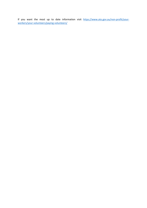If you want the most up to date information visit [https://www.ato.gov.au/non-profit/your](https://www.ato.gov.au/non-profit/your-workers/your-volunteers/paying-volunteers/)[workers/your-volunteers/paying-volunteers/](https://www.ato.gov.au/non-profit/your-workers/your-volunteers/paying-volunteers/)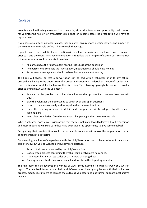# <span id="page-21-0"></span>Replace

Volunteers will ultimately move on from their role, either due to another opportunity, their reason for volunteering has left or enthusiasm diminished or in some cases the organization will have to replace them.

If you have a volunteer manager in place, they can often ensure more ongoing reviews and support of the volunteer in their role before it has to reach that stage.

If you do have to have a difficult conversation with a volunteer, make sure you have a process in place prior to it and the overarching recommendation is to follow the Principles of Natural Justice and trat it the same as you would a paid staff member.

- All parties have the right to a fair hearing regardless of the behaviour
- The person who conducts the investigation, mediation etc. should have no bias.
- Performance management should be based on evidence, not hearsay

The hope will always be that a conversation can be had with a volunteer prior to any official proceedings having to be undertaken. If a proper induction was undertaken a code of conduct can form the key framework for the basis of this discussion. The following tips might be useful to consider prior to sitting down with the volunteer.

- Be clear on the problem and allow the volunteer the opportunity to answer how they will solve it.
- Give the volunteer the opportunity to speak by asking open questions
- Listen to their answers fully and be equal in the conversation time.
- Leave the meeting with specific details and changes that will be adopted by all required stakeholders.
- Keep clear boundaries. Only discuss what is happening in their volunteering role.

When a volunteer does leave it is important that they are not just allowed to leave without recognition and most importantly making sure they have been given the opportunity to give some feedback.

Recognizing their contribution could be as simple as an email across the organization or an announcement at a gathering.

Documenting a volunteer's experience with the club/Association do not have to be as formal as an exit interview but you do want to achieve similar objectives.

- 1. Return of all property owned by the club/association
- 2. Documented process confirming the volunteer's involvement has ended.
- 3. If volunteer has any access codes or passwords, changing these.
- 4. Seeking any feedback, final comments, handover from the departing volunteer

The final point can be achieved in a variety of ways. Some examples include a survey or a written report. The feedback from this can help a club/association identify any issues with their volunteer process, modify recruitment to replace the outgoing volunteer and put further support mechanisms in place.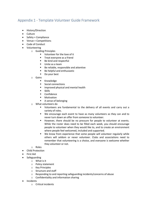# <span id="page-22-0"></span>Appendix 1 - Template Volunteer Guide Framework

- History/Direction
- Culture
- Safety + Compliance
- Venue + Competitions
- Code of Conduct
- Volunteering
	- o Guiding Principles
		- Volunteer for the love of it
		- **Treat everyone as a friend**
		- Be kind and respectful
		- Unite as a team
		- **Be reliable, responsible and attentive**
		- **Be helpful and enthusiastic**
		- Do your best
	- o Gains
		- **Knowledge**
		- Social connections
		- Improved physical and mental health
		- **Skills**
		- **•** Confidence
		- **■** Motivation
		- A sense of belonging
	- o What volunteers do
		- Volunteers are fundamental to the delivery of all events and carry out a variety of roles.
		- We encourage each event to have as many volunteers as they can and to never turn down an offer from someone to volunteer.
		- However, there should be no pressure for people to volunteer at events. While the roster does need to be filled each week, you should encourage people to volunteer when they would like to, and to create an environment where people feel welcomed, included and supported.
		- We know from experience that some people will volunteer regularly while others will seldom or never volunteer. Clubs and associations need to remember that volunteering is a choice, and everyone is welcome whether they volunteer or not.
	- o Roles
- Child Protection
- First Aid
- Safeguarding
	- o What is it
	- o Policy statement
	- o Key Principles
	- o Structure and staff
	- o Responding to and reporting safeguarding incidents/concerns of abuse
	- o Confidentiality and information sharing
- Incidents
	- o Critical incidents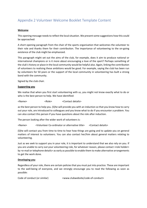# <span id="page-23-0"></span>Appendix 2 Volunteer Welcome Booklet Template Content

#### **Welcome**

This opening message needs to reflect the local situation. We present some suggestions how this could be approached:

A short opening paragraph from the chair of the sports organisation that welcomes the volunteer to their role and thanks them for their contribution. The importance of volunteering to the on-going existence of the club might be emphasized.

This paragraph might set out the aims of the club, for example, does it aim to produce national or international champions or is it more about encouraging a love of the sport? Perhaps something of the club's history or place in the local community would be helpful also. Again, linking the contribution of volunteers to realising these ambitions would be good. For example, saying the club has been run by volunteers for 50 years or the support of the local community in volunteering has built a strong bond with the community.

Signed by the club chair.

#### **Supporting you**

We realise that when you first start volunteering with us, you might not know exactly what to do or who is the best person to help. We have identified:

<Name> <Role> <Contact details>

as the best person to help you. (S)he will provide you with an induction so that you know how to carry out your role, are introduced to colleagues and you know what to do if you encounter a problem. You can also contact this person if you have questions about the role after induction.

The person looking after the wider work of volunteers is:

<Name> <Volunteer Co-ordinator or alternative title> <Contact details>

(S)he will contact you from time to time to hear how things are going and to update you on general matters of interest to volunteers. You can also contact her/him about general matters relating to volunteering.

Just as we seek to support you in your role, it is important to understand that we also rely on you. If you are unable to carry out your volunteering role, for whatever reason, please contact <role holder> by <e-mail or telephone details> as early as possible to enable them to make alternative arrangements to get the work done.

#### **Developing you**

Regardless of your role, there are certain policies that you must put into practice. These are important to the well-being of everyone, and we strongly encourage you to read the following as soon as possible:

Code of conduct (or similar) <www.clubwebsite/code-of-conduct>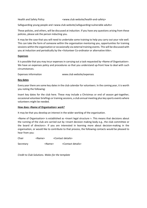Health and Safety Policy **Example 20** <www.club website/health-and-safety>

Safeguarding young people and <www.club website/safeguarding>vulnerable adults>

These policies, and others, will be discussed at induction. If you have any questions arising from these policies, please ask the person inducting you.

It may be the case that you will need to undertake some training to help you carry out your role well. This can take the form of someone within the organisation mentoring you, opportunities for training sessions within the organisation or occasionally via external training events. This will be discussed with you at induction and periodically by the <Volunteer Co-ordinator or alternative title>.

#### **Expenses**

It is possible that you may incur expenses in carrying out a task requested by <Name of Organisation>. We have an expenses policy and procedures so that you understand up-front how to deal with such circumstances.

Expenses information www.club website/expenses

#### **Key dates**

Every year there are some key dates in the club calendar for volunteers. In the coming year, it is worth you noting the following:

Insert key dates for the club here. These may include a Christmas or end of season get-together, occasional volunteer briefings or training sessions, a club annual meeting plus key sports events where volunteers might be needed.

#### **How does <Name of Organisation> work?**

It may be that you develop an interest in the wider working of the organisation.

<Name of Organisation> is established as <insert legal structure >. This means that decisions about the running of the club are carried out by <insert decision making body e.g., the club committee or the board of directors>. If you are interested in learning more about decision-making in the organisation, or would like to contribute to that process, the following contacts would be pleased to hear from you:

Chair <Name> <Contact details>

Secretary <Name> <Contact details>

*Credit to Club Solutions. Wales for the template*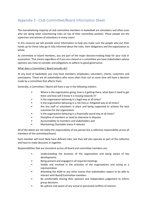# <span id="page-25-0"></span>Appendix 3 - Club Committee/Board Information Sheet

The overwhelming majority of club committee members in basketball are volunteers and often ones who are doing other volunteering roles on top of their committee position. These people are the supermen and women of volunteers in many cases!

In this resource we will provide some information to help you make sure the people who put their hands up for these roles go in fully informed about the roles, their obligations and the organization as whole.

As committee or board members, you are part of the major decision-making body for your club or association. That means regardless of if you are a board or a committee you have stakeholders whose opinions you have to consider and obligations to adhere to good governance.

## What does a Committee / Board actually do?

At any level of basketball, you may have members, employees, volunteers, clients, customers and participants. These are all stakeholders who more often than not at some time will have a decision made by a committee that affects them.

Generally, a Committee / Board will have a say in the following matters.

- Where is the organization going, how is it getting there, what does it need to get there and how will it know it is moving towards it?
- Is the organization behaving in a legal way at all times?
- Is the organization behaving in a risk free or mitigated way at all times?
- Are any staff or volunteers in place and being supported to achieve the best outcomes for the organization
- Is the organization behaving in a financially sound way at all times?
- Discipline of members or need to intervene in disputes
- Accountability to members and stakeholders and
- Maintaining Charitable status if relevant

All of the above are not solely the responsibility of one person but a collective responsibility across all members of the committee/board.

Each member will most likely have defined roles, but they will also operate as part of the collective and have to make decisions in together.

Responsibilities that are consistent across all board and committee members are;

- Understanding the business of the organization and being aware of key developments
- Being present and engaged in all required meetings
- Visible and involved in the activities of the organisations and acting as a representative.
- Attending the AGM or any other events that stakeholders expect to be able to interact with Board/Committee members
- Be comfortable sharing their opinions and independent judgement to inform group decisions
- Be upfront and aware of any actual or perceived conflicts of interest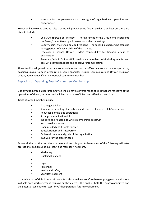• Have comfort in governance and oversight of organizational operation and performance

Boards will have some specific roles that we will provide some further guidance on later on, these are likely to include.

- Chair/Chairperson or President The figurehead of the Group who represents the Board/committee at public events and chairs meetings.
- Deputy chair / Vice Chair or Vice President The second in charge who steps up during periods of unavailability of the chair etc.
- Treasurer / Finance Officer Main responsibility for financial affairs of organization
- Secretary / Admin Officer- Will usually maintain all records including minutes and deal with correspondence and paperwork from meetings.

These traditional generic roles are commonly known as the office bearers and are supported by positions unique to each organization. Some examples include Communications Officer, Inclusion Officer, Equipment Officer and General Committee member.

# <span id="page-26-0"></span>Replacing or Expanding Board/Committee Membership

Like any good group a board/committee should have a diverse range of skills that are reflective of the operations of the organization and will best assist the efficient and effective operation.

Traits of a good member include

- A strategic thinker
- Sound understanding of structures and systems of a sports club/association
- Knowledge of the club operations
- Strong communication skills
- Inclusive and relatable to whole membership spectrum
- Works well in a team
- Open minded and flexible thinker
- Ethical, Honest and trustworthy
- Believes in values and goals of the organization
- Involved for the greater good

Across all the positions on the board/committee it is good to have a mix of the following skill sets/ professional backgrounds in at least one member if not more.

- Marketing
- Qualified Financial
- $\bullet$  IT
- Legal
- Personnel
- Health and Safety
- Sport Development

If there is a lack of skills in a certain areas Boards should feel comfortable co-opting people with those skill sets onto working groups focusing on those areas. This enables both the board/committee and the potential candidate to 'test- drive' their potential future involvement.